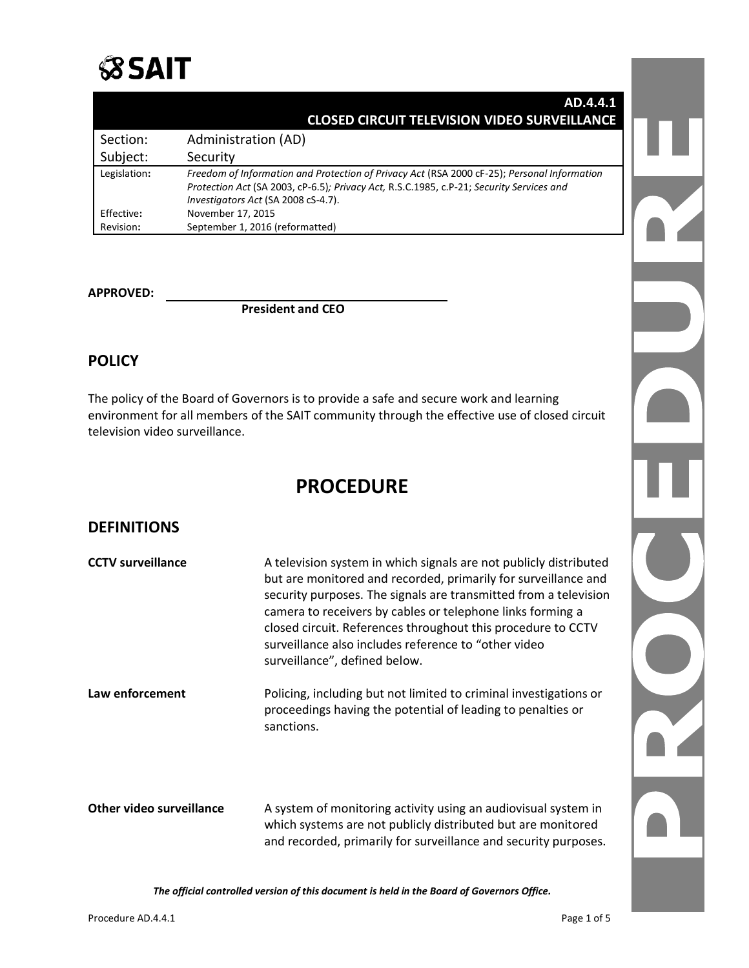

| AD.4.4.1                                                                                                                                                                                                                       |              |
|--------------------------------------------------------------------------------------------------------------------------------------------------------------------------------------------------------------------------------|--------------|
| <b>CLOSED CIRCUIT TELEVISION VIDEO SURVEILLANCE</b>                                                                                                                                                                            |              |
| Administration (AD)                                                                                                                                                                                                            | Section:     |
| Security                                                                                                                                                                                                                       | Subject:     |
| Freedom of Information and Protection of Privacy Act (RSA 2000 cF-25); Personal Information<br>Protection Act (SA 2003, cP-6.5); Privacy Act, R.S.C.1985, c.P-21; Security Services and<br>Investigators Act (SA 2008 cS-4.7). | Legislation: |
| November 17, 2015                                                                                                                                                                                                              | Effective:   |
| September 1, 2016 (reformatted)                                                                                                                                                                                                | Revision:    |

#### **APPROVED:**

**President and CEO**

### **POLICY**

The policy of the Board of Governors is to provide a safe and secure work and learning environment for all members of the SAIT community through the effective use of closed circuit television video surveillance.

# **PROCEDURE**

### **DEFINITIONS**

| <b>CCTV surveillance</b> | A television system in which signals are not publicly distributed<br>but are monitored and recorded, primarily for surveillance and<br>security purposes. The signals are transmitted from a television<br>camera to receivers by cables or telephone links forming a<br>closed circuit. References throughout this procedure to CCTV<br>surveillance also includes reference to "other video<br>surveillance", defined below. |
|--------------------------|--------------------------------------------------------------------------------------------------------------------------------------------------------------------------------------------------------------------------------------------------------------------------------------------------------------------------------------------------------------------------------------------------------------------------------|
| Law enforcement          | Policing, including but not limited to criminal investigations or<br>proceedings having the potential of leading to penalties or<br>sanctions.                                                                                                                                                                                                                                                                                 |
| Other video surveillance | A system of monitoring activity using an audiovisual system in<br>which systems are not publicly distributed but are monitored<br>and recorded, primarily for surveillance and security purposes.                                                                                                                                                                                                                              |

*The official controlled version of this document is held in the Board of Governors Office.*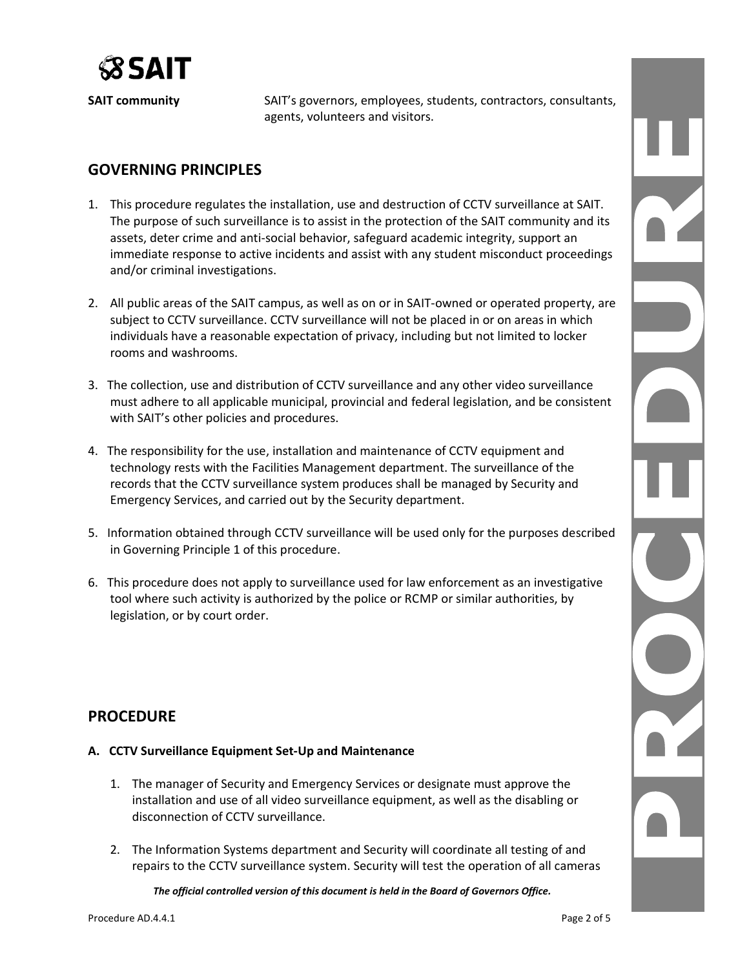

**SAIT community** SAIT's governors, employees, students, contractors, consultants, agents, volunteers and visitors.

## **GOVERNING PRINCIPLES**

- 1. This procedure regulates the installation, use and destruction of CCTV surveillance at SAIT. The purpose of such surveillance is to assist in the protection of the SAIT community and its assets, deter crime and anti-social behavior, safeguard academic integrity, support an immediate response to active incidents and assist with any student misconduct proceedings and/or criminal investigations.
- 2. All public areas of the SAIT campus, as well as on or in SAIT-owned or operated property, are subject to CCTV surveillance. CCTV surveillance will not be placed in or on areas in which individuals have a reasonable expectation of privacy, including but not limited to locker rooms and washrooms.
- 3. The collection, use and distribution of CCTV surveillance and any other video surveillance must adhere to all applicable municipal, provincial and federal legislation, and be consistent with SAIT's other policies and procedures.
- 4. The responsibility for the use, installation and maintenance of CCTV equipment and technology rests with the Facilities Management department. The surveillance of the records that the CCTV surveillance system produces shall be managed by Security and Emergency Services, and carried out by the Security department.
- 5. Information obtained through CCTV surveillance will be used only for the purposes described in Governing Principle 1 of this procedure.
- 6. This procedure does not apply to surveillance used for law enforcement as an investigative tool where such activity is authorized by the police or RCMP or similar authorities, by legislation, or by court order.

### **PROCEDURE**

#### **A. CCTV Surveillance Equipment Set-Up and Maintenance**

- 1. The manager of Security and Emergency Services or designate must approve the installation and use of all video surveillance equipment, as well as the disabling or disconnection of CCTV surveillance.
- 2. The Information Systems department and Security will coordinate all testing of and repairs to the CCTV surveillance system. Security will test the operation of all cameras

*The official controlled version of this document is held in the Board of Governors Office.*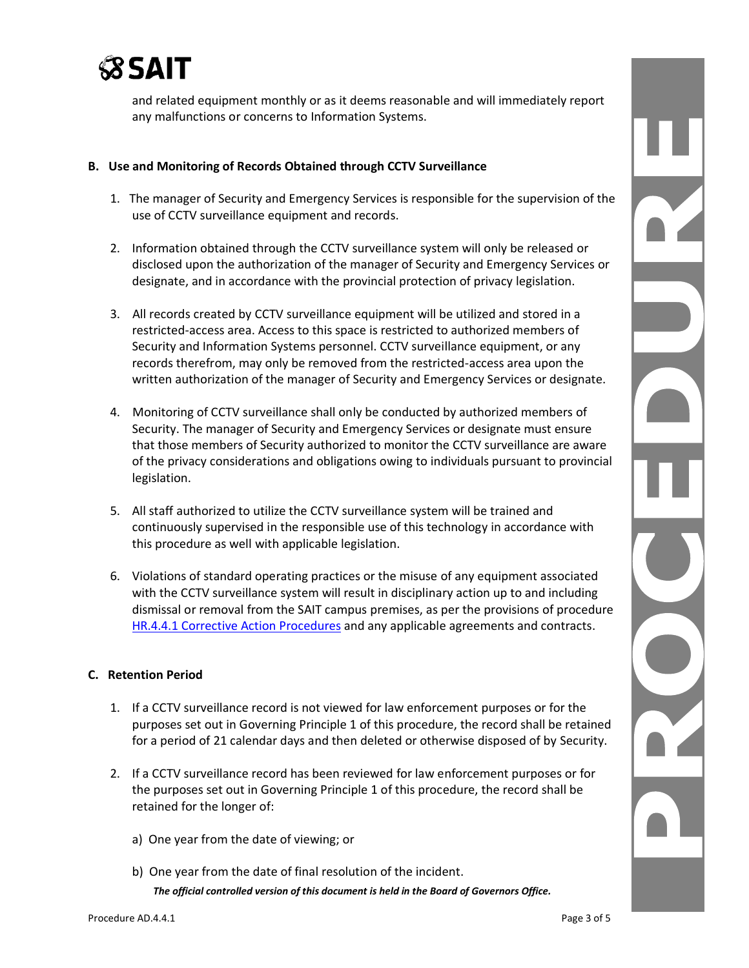

and related equipment monthly or as it deems reasonable and will immediately report any malfunctions or concerns to Information Systems.

#### **B. Use and Monitoring of Records Obtained through CCTV Surveillance**

- 1. The manager of Security and Emergency Services is responsible for the supervision of the use of CCTV surveillance equipment and records.
- 2. Information obtained through the CCTV surveillance system will only be released or disclosed upon the authorization of the manager of Security and Emergency Services or designate, and in accordance with the provincial protection of privacy legislation.
- 3. All records created by CCTV surveillance equipment will be utilized and stored in a restricted-access area. Access to this space is restricted to authorized members of Security and Information Systems personnel. CCTV surveillance equipment, or any records therefrom, may only be removed from the restricted-access area upon the written authorization of the manager of Security and Emergency Services or designate.
- 4. Monitoring of CCTV surveillance shall only be conducted by authorized members of Security. The manager of Security and Emergency Services or designate must ensure that those members of Security authorized to monitor the CCTV surveillance are aware of the privacy considerations and obligations owing to individuals pursuant to provincial legislation.
- 5. All staff authorized to utilize the CCTV surveillance system will be trained and continuously supervised in the responsible use of this technology in accordance with this procedure as well with applicable legislation.
- 6. Violations of standard operating practices or the misuse of any equipment associated with the CCTV surveillance system will result in disciplinary action up to and including dismissal or removal from the SAIT campus premises, as per the provisions of procedure [HR.4.4.1 Corrective Action](https://www.sait.ca/assets/documents/about-sait/policies-and-procedures/human-resources/hr-4-4-1-corrective-action-procedures.pdf) Procedures and any applicable agreements and contracts.

#### **C. Retention Period**

- 1. If a CCTV surveillance record is not viewed for law enforcement purposes or for the purposes set out in Governing Principle 1 of this procedure, the record shall be retained for a period of 21 calendar days and then deleted or otherwise disposed of by Security.
- 2. If a CCTV surveillance record has been reviewed for law enforcement purposes or for the purposes set out in Governing Principle 1 of this procedure, the record shall be retained for the longer of:
	- a) One year from the date of viewing; or
	- *The official controlled version of this document is held in the Board of Governors Office.* b) One year from the date of final resolution of the incident.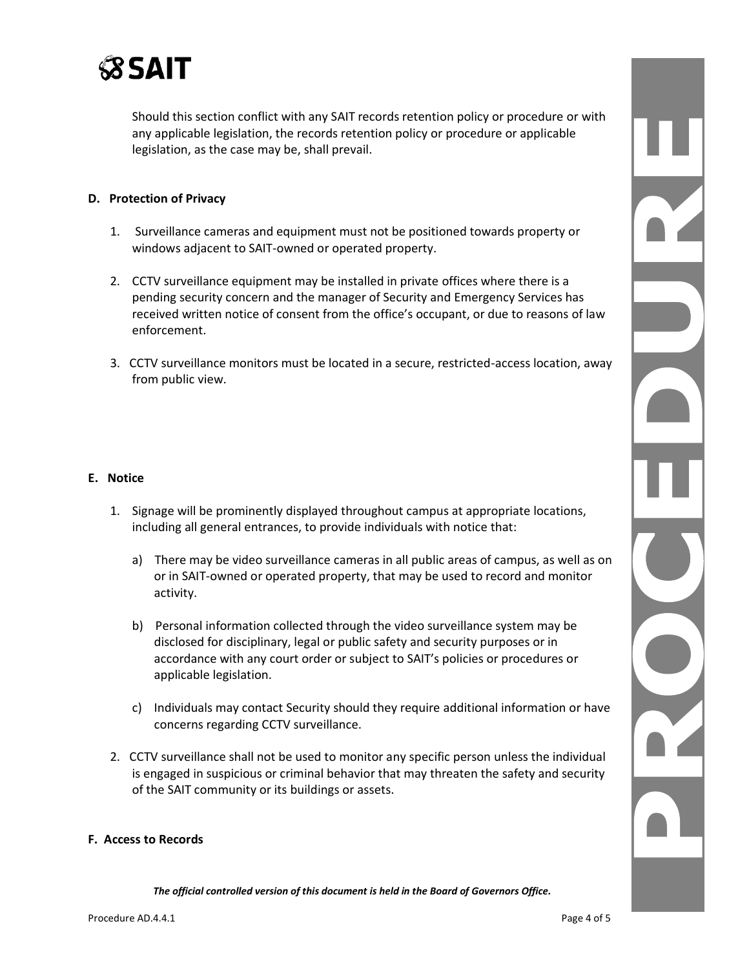

Should this section conflict with any SAIT records retention policy or procedure or with any applicable legislation, the records retention policy or procedure or applicable legislation, as the case may be, shall prevail.

#### **D. Protection of Privacy**

- 1. Surveillance cameras and equipment must not be positioned towards property or windows adjacent to SAIT-owned or operated property.
- 2. CCTV surveillance equipment may be installed in private offices where there is a pending security concern and the manager of Security and Emergency Services has received written notice of consent from the office's occupant, or due to reasons of law enforcement.
- 3. CCTV surveillance monitors must be located in a secure, restricted-access location, away from public view.

#### **E. Notice**

- 1. Signage will be prominently displayed throughout campus at appropriate locations, including all general entrances, to provide individuals with notice that:
	- a) There may be video surveillance cameras in all public areas of campus, as well as on or in SAIT-owned or operated property, that may be used to record and monitor activity.
	- b) Personal information collected through the video surveillance system may be disclosed for disciplinary, legal or public safety and security purposes or in accordance with any court order or subject to SAIT's policies or procedures or applicable legislation.
	- c) Individuals may contact Security should they require additional information or have concerns regarding CCTV surveillance.
- 2. CCTV surveillance shall not be used to monitor any specific person unless the individual is engaged in suspicious or criminal behavior that may threaten the safety and security of the SAIT community or its buildings or assets.

#### **F. Access to Records**

*The official controlled version of this document is held in the Board of Governors Office.*